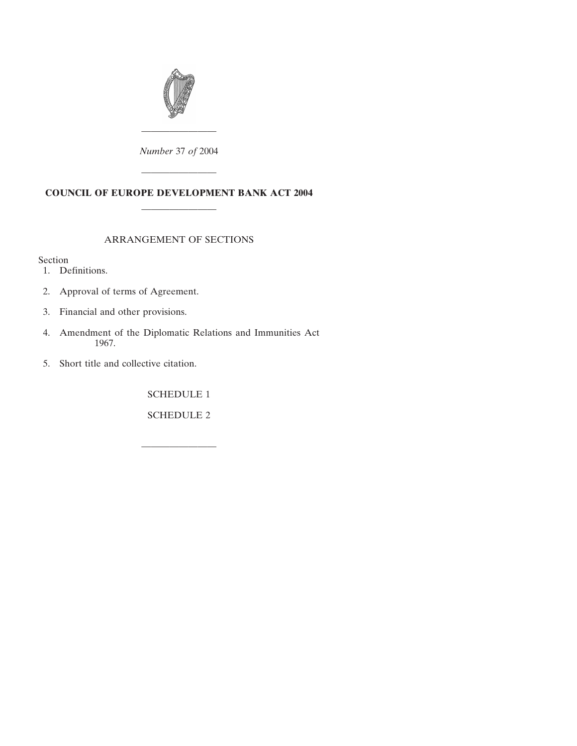

*Number* 37 *of* 2004

————————

# **COUNCIL OF EUROPE DEVELOPMENT BANK ACT 2004** ————————

————————

## ARRANGEMENT OF SECTIONS

Section

- [1. Definitions.](#page-2-0)
- [2. Approval of terms of Agreement.](#page-2-0)
- [3. Financial and other provisions.](#page-2-0)
- [4. Amendment of the Diplomatic Relations and Immunities Act](#page-3-0) 1967.
- [5. Short title and collective citation.](#page-4-0)

[SCHEDULE 1](#page-5-0)

[SCHEDULE 2](#page-16-0)

————————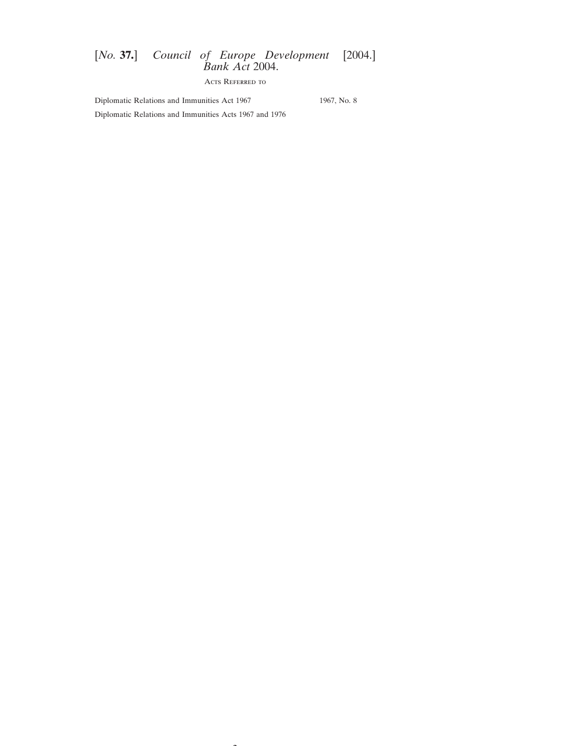Acts Referred to

 $\overline{\phantom{a}}$ 

Diplomatic Relations and Immunities Act 1967 1967, No. 8

Diplomatic Relations and Immunities Acts 1967 and 1976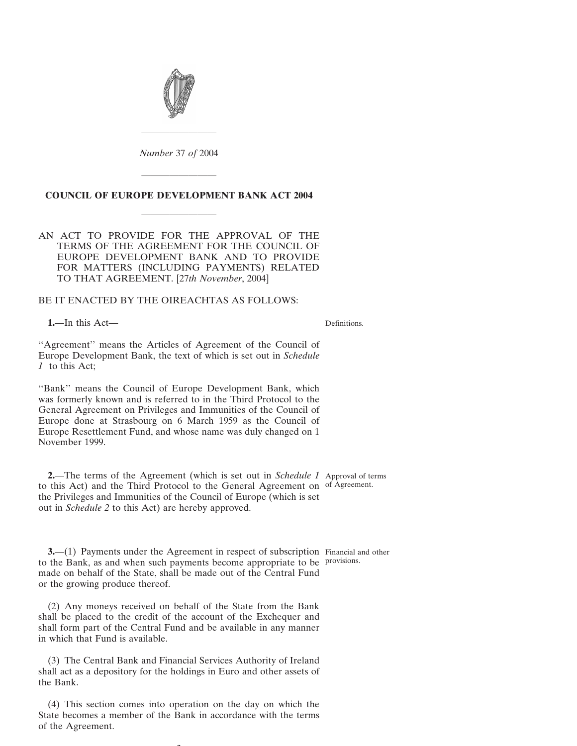<span id="page-2-0"></span>

*Number* 37 *of* 2004

————————

# **COUNCIL OF EUROPE DEVELOPMENT BANK ACT 2004** ————————

————————

AN ACT TO PROVIDE FOR THE APPROVAL OF THE TERMS OF THE AGREEMENT FOR THE COUNCIL OF EUROPE DEVELOPMENT BANK AND TO PROVIDE FOR MATTERS (INCLUDING PAYMENTS) RELATED TO THAT AGREEMENT. [27*th November*, 2004]

BE IT ENACTED BY THE OIREACHTAS AS FOLLOWS:

**1.**—In this Act—

Definitions.

''Agreement'' means the Articles of Agreement of the Council of Europe Development Bank, the text of which is set out in *Schedule 1* to this Act;

''Bank'' means the Council of Europe Development Bank, which was formerly known and is referred to in the Third Protocol to the General Agreement on Privileges and Immunities of the Council of Europe done at Strasbourg on 6 March 1959 as the Council of Europe Resettlement Fund, and whose name was duly changed on 1 November 1999.

**2.**—The terms of the Agreement (which is set out in *Schedule 1* Approval of terms to this Act) and the Third Protocol to the General Agreement on of Agreement. the Privileges and Immunities of the Council of Europe (which is set out in *Schedule 2* to this Act) are hereby approved.

**3.**—(1) Payments under the Agreement in respect of subscription Financial and other to the Bank, as and when such payments become appropriate to be provisions.made on behalf of the State, shall be made out of the Central Fund or the growing produce thereof.

(2) Any moneys received on behalf of the State from the Bank shall be placed to the credit of the account of the Exchequer and shall form part of the Central Fund and be available in any manner in which that Fund is available.

(3) The Central Bank and Financial Services Authority of Ireland shall act as a depository for the holdings in Euro and other assets of the Bank.

(4) This section comes into operation on the day on which the State becomes a member of the Bank in accordance with the terms of the Agreement.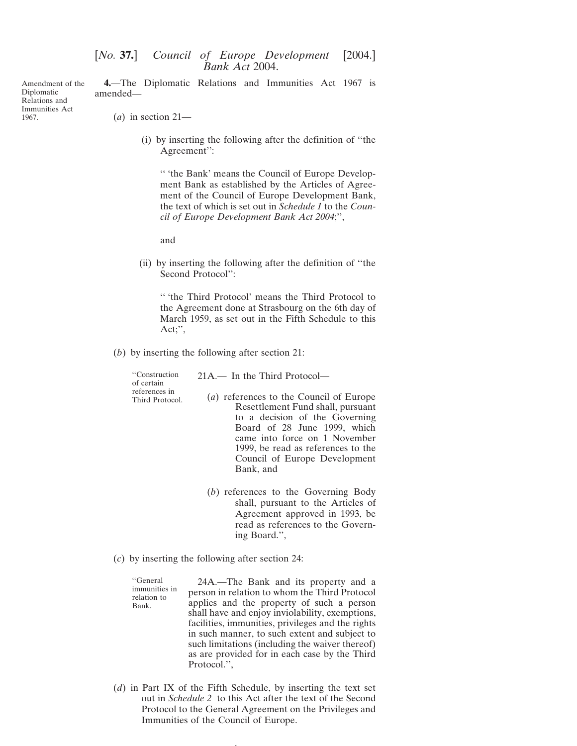<span id="page-3-0"></span>Amendment of the Relations and **4.**—The Diplomatic Relations and Immunities Act 1967 is amended—

(*a*) in section 21—

Diplomatic

1967.

Immunities Act

(i) by inserting the following after the definition of ''the Agreement'':

'' 'the Bank' means the Council of Europe Development Bank as established by the Articles of Agreement of the Council of Europe Development Bank, the text of which is set out in *Schedule 1* to the *Council of Europe Development Bank Act 2004*;'',

and

(ii) by inserting the following after the definition of ''the Second Protocol'':

'' 'the Third Protocol' means the Third Protocol to the Agreement done at Strasbourg on the 6th day of March 1959, as set out in the Fifth Schedule to this Act;'',

(*b*) by inserting the following after section 21:

| "Construction<br>of certain<br>references in<br>Third Protocol. | $21A$ — In the Third Protocol—                                                                                                                                                                                                                                      |
|-----------------------------------------------------------------|---------------------------------------------------------------------------------------------------------------------------------------------------------------------------------------------------------------------------------------------------------------------|
|                                                                 | (a) references to the Council of Europe<br>Resettlement Fund shall, pursuant<br>to a decision of the Governing<br>Board of 28 June 1999, which<br>came into force on 1 November<br>1999, be read as references to the<br>Council of Europe Development<br>Bank, and |
|                                                                 | (b) references to the Governing Body                                                                                                                                                                                                                                |

- shall, pursuant to the Articles of Agreement approved in 1993, be read as references to the Governing Board.'',
- (*c*) by inserting the following after section 24:

''General 24A.—The Bank and its property and a immunities in person in relation to whom the Third Protocol relation to applies and the property of such a person Bank. shall have and enjoy inviolability, exemptions, facilities, immunities, privileges and the rights in such manner, to such extent and subject to such limitations (including the waiver thereof) as are provided for in each case by the Third Protocol.'',

(*d*) in Part IX of the Fifth Schedule, by inserting the text set out in *Schedule 2* to this Act after the text of the Second Protocol to the General Agreement on the Privileges and Immunities of the Council of Europe.

4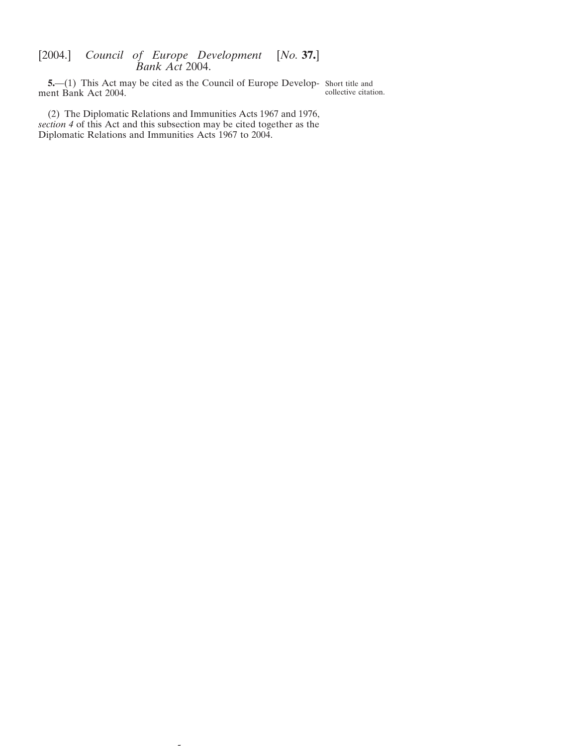<span id="page-4-0"></span>**5.**—(1) This Act may be cited as the Council of Europe Develop- Short title and ment Bank Act 2004. collective citation.

(2) The Diplomatic Relations and Immunities Acts 1967 and 1976, *section 4* of this Act and this subsection may be cited together as the Diplomatic Relations and Immunities Acts 1967 to 2004.

 $\overline{a}$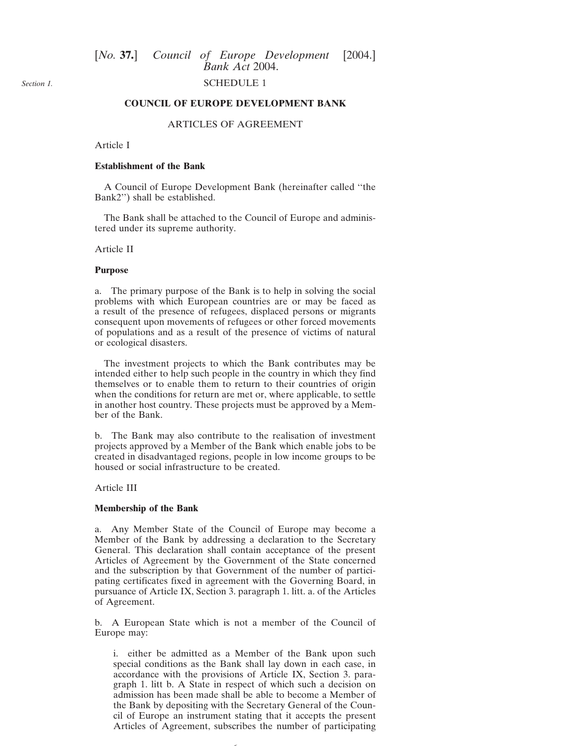### SCHEDULE 1

### **COUNCIL OF EUROPE DEVELOPMENT BANK**

### ARTICLES OF AGREEMENT

### Article I

### **Establishment of the Bank**

A Council of Europe Development Bank (hereinafter called ''the Bank2'') shall be established.

The Bank shall be attached to the Council of Europe and administered under its supreme authority.

### Article II

#### **Purpose**

a. The primary purpose of the Bank is to help in solving the social problems with which European countries are or may be faced as a result of the presence of refugees, displaced persons or migrants consequent upon movements of refugees or other forced movements of populations and as a result of the presence of victims of natural or ecological disasters.

The investment projects to which the Bank contributes may be intended either to help such people in the country in which they find themselves or to enable them to return to their countries of origin when the conditions for return are met or, where applicable, to settle in another host country. These projects must be approved by a Member of the Bank.

b. The Bank may also contribute to the realisation of investment projects approved by a Member of the Bank which enable jobs to be created in disadvantaged regions, people in low income groups to be housed or social infrastructure to be created.

Article III

#### **Membership of the Bank**

a. Any Member State of the Council of Europe may become a Member of the Bank by addressing a declaration to the Secretary General. This declaration shall contain acceptance of the present Articles of Agreement by the Government of the State concerned and the subscription by that Government of the number of participating certificates fixed in agreement with the Governing Board, in pursuance of Article IX, Section 3. paragraph 1. litt. a. of the Articles of Agreement.

b. A European State which is not a member of the Council of Europe may:

i. either be admitted as a Member of the Bank upon such special conditions as the Bank shall lay down in each case, in accordance with the provisions of Article IX, Section 3. paragraph 1. litt b. A State in respect of which such a decision on admission has been made shall be able to become a Member of the Bank by depositing with the Secretary General of the Council of Europe an instrument stating that it accepts the present Articles of Agreement, subscribes the number of participating

6

<span id="page-5-0"></span>*Section 1.*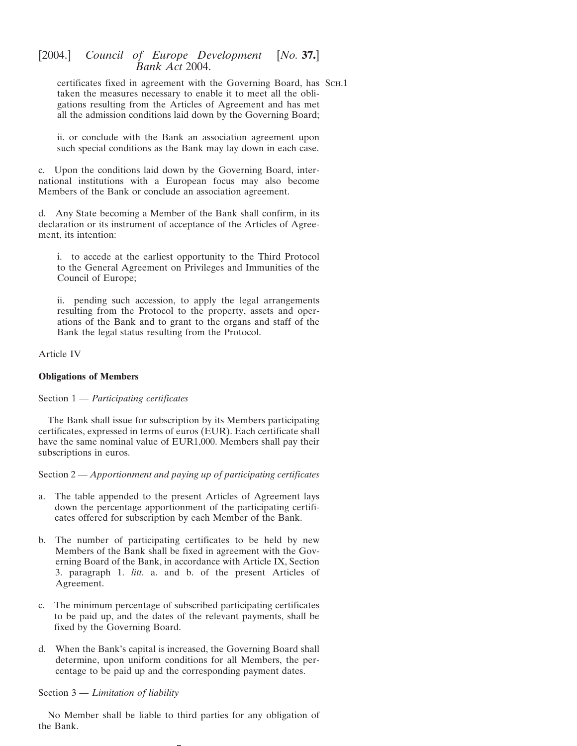certificates fixed in agreement with the Governing Board, has Sch.1 taken the measures necessary to enable it to meet all the obligations resulting from the Articles of Agreement and has met all the admission conditions laid down by the Governing Board;

ii. or conclude with the Bank an association agreement upon such special conditions as the Bank may lay down in each case.

c. Upon the conditions laid down by the Governing Board, international institutions with a European focus may also become Members of the Bank or conclude an association agreement.

d. Any State becoming a Member of the Bank shall confirm, in its declaration or its instrument of acceptance of the Articles of Agreement, its intention:

i. to accede at the earliest opportunity to the Third Protocol to the General Agreement on Privileges and Immunities of the Council of Europe;

ii. pending such accession, to apply the legal arrangements resulting from the Protocol to the property, assets and operations of the Bank and to grant to the organs and staff of the Bank the legal status resulting from the Protocol.

### Article IV

### **Obligations of Members**

### Section 1 — *Participating certificates*

The Bank shall issue for subscription by its Members participating certificates, expressed in terms of euros (EUR). Each certificate shall have the same nominal value of EUR1,000. Members shall pay their subscriptions in euros.

Section 2 — *Apportionment and paying up of participating certificates*

- a. The table appended to the present Articles of Agreement lays down the percentage apportionment of the participating certificates offered for subscription by each Member of the Bank.
- b. The number of participating certificates to be held by new Members of the Bank shall be fixed in agreement with the Governing Board of the Bank, in accordance with Article IX, Section 3. paragraph 1. *litt*. a. and b. of the present Articles of Agreement.
- c. The minimum percentage of subscribed participating certificates to be paid up, and the dates of the relevant payments, shall be fixed by the Governing Board.
- d. When the Bank's capital is increased, the Governing Board shall determine, upon uniform conditions for all Members, the percentage to be paid up and the corresponding payment dates.

### Section 3 — *Limitation of liability*

No Member shall be liable to third parties for any obligation of the Bank.

 $\overline{\phantom{0}}$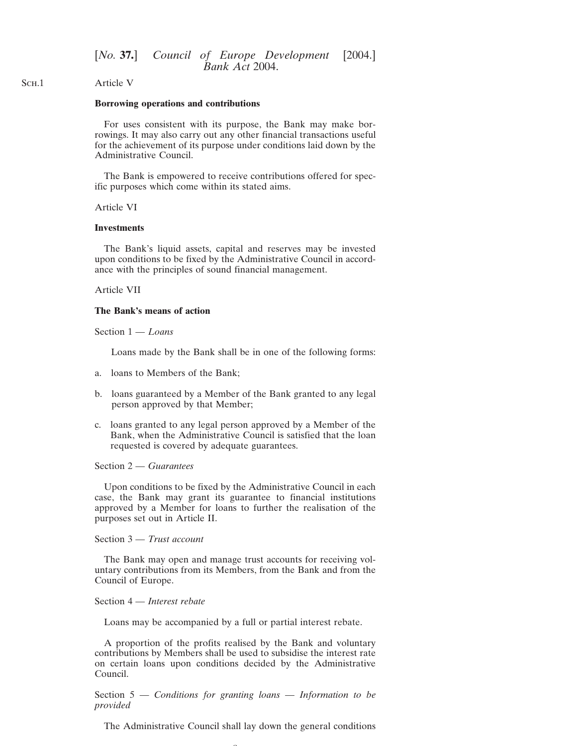#### SCH.1 Article V

### **Borrowing operations and contributions**

For uses consistent with its purpose, the Bank may make borrowings. It may also carry out any other financial transactions useful for the achievement of its purpose under conditions laid down by the Administrative Council.

The Bank is empowered to receive contributions offered for specific purposes which come within its stated aims.

### Article VI

#### **Investments**

The Bank's liquid assets, capital and reserves may be invested upon conditions to be fixed by the Administrative Council in accordance with the principles of sound financial management.

### Article VII

### **The Bank's means of action**

Section 1 — *Loans*

Loans made by the Bank shall be in one of the following forms:

- a. loans to Members of the Bank;
- b. loans guaranteed by a Member of the Bank granted to any legal person approved by that Member;
- c. loans granted to any legal person approved by a Member of the Bank, when the Administrative Council is satisfied that the loan requested is covered by adequate guarantees.

#### Section 2 — *Guarantees*

Upon conditions to be fixed by the Administrative Council in each case, the Bank may grant its guarantee to financial institutions approved by a Member for loans to further the realisation of the purposes set out in Article II.

### Section 3 — *Trust account*

The Bank may open and manage trust accounts for receiving voluntary contributions from its Members, from the Bank and from the Council of Europe.

### Section 4 — *Interest rebate*

Loans may be accompanied by a full or partial interest rebate.

A proportion of the profits realised by the Bank and voluntary contributions by Members shall be used to subsidise the interest rate on certain loans upon conditions decided by the Administrative Council.

Section 5 — *Conditions for granting loans — Information to be provided*

The Administrative Council shall lay down the general conditions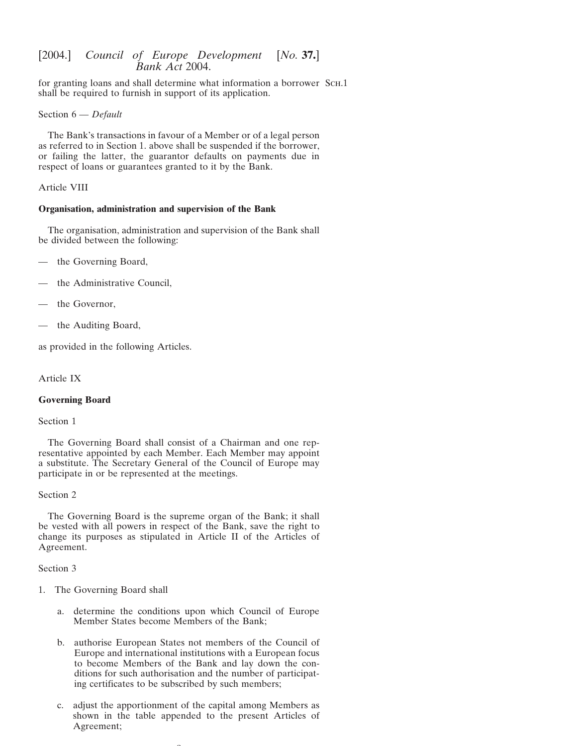for granting loans and shall determine what information a borrower ScH.1 shall be required to furnish in support of its application.

Section 6 — *Default*

The Bank's transactions in favour of a Member or of a legal person as referred to in Section 1. above shall be suspended if the borrower, or failing the latter, the guarantor defaults on payments due in respect of loans or guarantees granted to it by the Bank.

### Article VIII

### **Organisation, administration and supervision of the Bank**

The organisation, administration and supervision of the Bank shall be divided between the following:

- the Governing Board,
- the Administrative Council,
- the Governor,
- the Auditing Board,

as provided in the following Articles.

Article IX

### **Governing Board**

Section 1

The Governing Board shall consist of a Chairman and one representative appointed by each Member. Each Member may appoint a substitute. The Secretary General of the Council of Europe may participate in or be represented at the meetings.

Section 2

The Governing Board is the supreme organ of the Bank; it shall be vested with all powers in respect of the Bank, save the right to change its purposes as stipulated in Article II of the Articles of Agreement.

Section 3

- 1. The Governing Board shall
	- a. determine the conditions upon which Council of Europe Member States become Members of the Bank;
	- b. authorise European States not members of the Council of Europe and international institutions with a European focus to become Members of the Bank and lay down the conditions for such authorisation and the number of participating certificates to be subscribed by such members;
	- c. adjust the apportionment of the capital among Members as shown in the table appended to the present Articles of Agreement;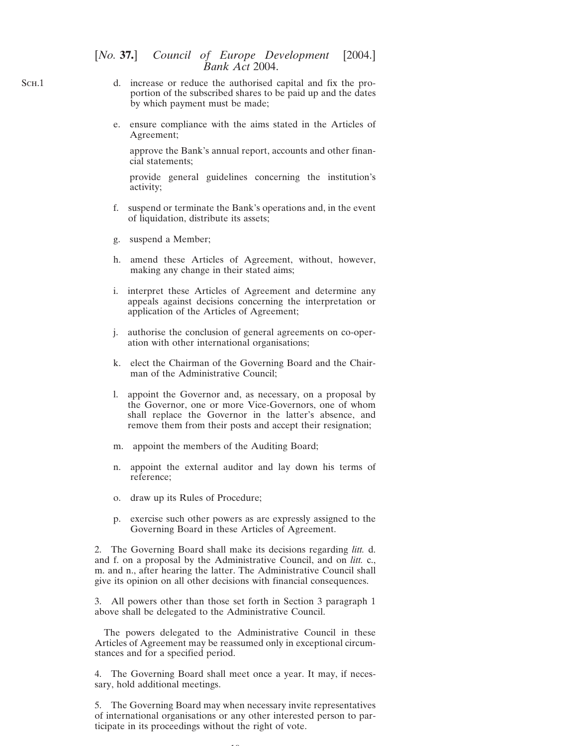- d. increase or reduce the authorised capital and fix the proportion of the subscribed shares to be paid up and the dates by which payment must be made;
- e. ensure compliance with the aims stated in the Articles of Agreement;

approve the Bank's annual report, accounts and other financial statements;

provide general guidelines concerning the institution's activity;

- f. suspend or terminate the Bank's operations and, in the event of liquidation, distribute its assets;
- g. suspend a Member;
- h. amend these Articles of Agreement, without, however, making any change in their stated aims;
- i. interpret these Articles of Agreement and determine any appeals against decisions concerning the interpretation or application of the Articles of Agreement;
- j. authorise the conclusion of general agreements on co-operation with other international organisations;
- k. elect the Chairman of the Governing Board and the Chairman of the Administrative Council;
- l. appoint the Governor and, as necessary, on a proposal by the Governor, one or more Vice-Governors, one of whom shall replace the Governor in the latter's absence, and remove them from their posts and accept their resignation;
- m. appoint the members of the Auditing Board;
- n. appoint the external auditor and lay down his terms of reference;
- o. draw up its Rules of Procedure;
- p. exercise such other powers as are expressly assigned to the Governing Board in these Articles of Agreement.

2. The Governing Board shall make its decisions regarding *litt.* d. and f. on a proposal by the Administrative Council, and on *litt.* c., m. and n., after hearing the latter. The Administrative Council shall give its opinion on all other decisions with financial consequences.

3. All powers other than those set forth in Section 3 paragraph 1 above shall be delegated to the Administrative Council.

The powers delegated to the Administrative Council in these Articles of Agreement may be reassumed only in exceptional circumstances and for a specified period.

4. The Governing Board shall meet once a year. It may, if necessary, hold additional meetings.

5. The Governing Board may when necessary invite representatives of international organisations or any other interested person to participate in its proceedings without the right of vote.

 $\sim$ 

SCH.1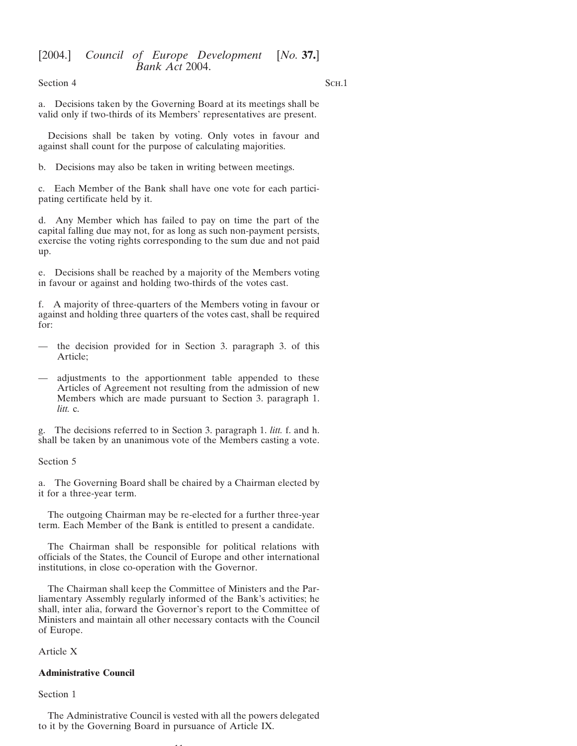Section 4 Sch.1

a. Decisions taken by the Governing Board at its meetings shall be valid only if two-thirds of its Members' representatives are present.

Decisions shall be taken by voting. Only votes in favour and against shall count for the purpose of calculating majorities.

b. Decisions may also be taken in writing between meetings.

c. Each Member of the Bank shall have one vote for each participating certificate held by it.

d. Any Member which has failed to pay on time the part of the capital falling due may not, for as long as such non-payment persists, exercise the voting rights corresponding to the sum due and not paid up.

e. Decisions shall be reached by a majority of the Members voting in favour or against and holding two-thirds of the votes cast.

f. A majority of three-quarters of the Members voting in favour or against and holding three quarters of the votes cast, shall be required for:

- the decision provided for in Section 3. paragraph 3. of this Article;
- adjustments to the apportionment table appended to these Articles of Agreement not resulting from the admission of new Members which are made pursuant to Section 3. paragraph 1. *litt.* c.

g. The decisions referred to in Section 3. paragraph 1. *litt.* f. and h. shall be taken by an unanimous vote of the Members casting a vote.

### Section 5

a. The Governing Board shall be chaired by a Chairman elected by it for a three-year term.

The outgoing Chairman may be re-elected for a further three-year term. Each Member of the Bank is entitled to present a candidate.

The Chairman shall be responsible for political relations with officials of the States, the Council of Europe and other international institutions, in close co-operation with the Governor.

The Chairman shall keep the Committee of Ministers and the Parliamentary Assembly regularly informed of the Bank's activities; he shall, inter alia, forward the Governor's report to the Committee of Ministers and maintain all other necessary contacts with the Council of Europe.

Article X

### **Administrative Council**

### Section 1

The Administrative Council is vested with all the powers delegated to it by the Governing Board in pursuance of Article IX.

11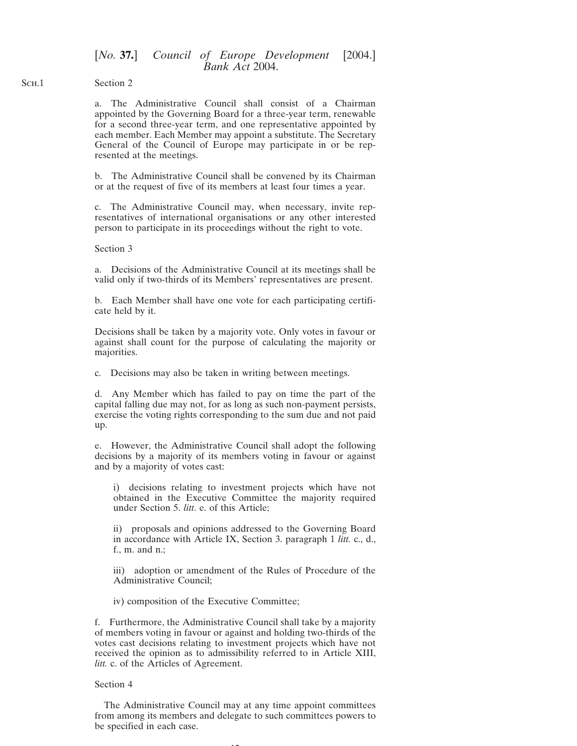SCH.1 Section 2

> a. The Administrative Council shall consist of a Chairman appointed by the Governing Board for a three-year term, renewable for a second three-year term, and one representative appointed by each member. Each Member may appoint a substitute. The Secretary General of the Council of Europe may participate in or be represented at the meetings.

> b. The Administrative Council shall be convened by its Chairman or at the request of five of its members at least four times a year.

> c. The Administrative Council may, when necessary, invite representatives of international organisations or any other interested person to participate in its proceedings without the right to vote.

### Section 3

a. Decisions of the Administrative Council at its meetings shall be valid only if two-thirds of its Members' representatives are present.

b. Each Member shall have one vote for each participating certificate held by it.

Decisions shall be taken by a majority vote. Only votes in favour or against shall count for the purpose of calculating the majority or majorities.

c. Decisions may also be taken in writing between meetings.

d. Any Member which has failed to pay on time the part of the capital falling due may not, for as long as such non-payment persists, exercise the voting rights corresponding to the sum due and not paid up.

e. However, the Administrative Council shall adopt the following decisions by a majority of its members voting in favour or against and by a majority of votes cast:

i) decisions relating to investment projects which have not obtained in the Executive Committee the majority required under Section 5. *litt*. e. of this Article;

ii) proposals and opinions addressed to the Governing Board in accordance with Article IX, Section 3. paragraph 1 *litt.* c., d., f., m. and n.;

iii) adoption or amendment of the Rules of Procedure of the Administrative Council;

iv) composition of the Executive Committee;

f. Furthermore, the Administrative Council shall take by a majority of members voting in favour or against and holding two-thirds of the votes cast decisions relating to investment projects which have not received the opinion as to admissibility referred to in Article XIII, *litt.* c. of the Articles of Agreement.

#### Section 4

The Administrative Council may at any time appoint committees from among its members and delegate to such committees powers to be specified in each case.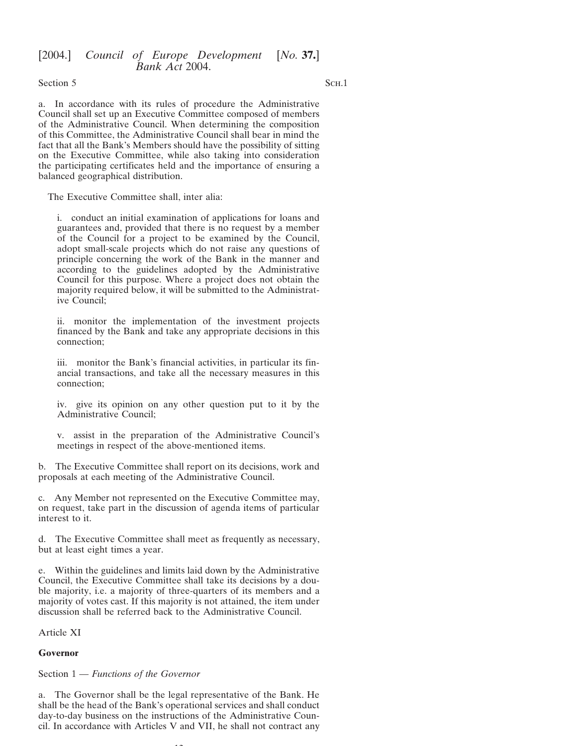Section 5 SCH.1

a. In accordance with its rules of procedure the Administrative Council shall set up an Executive Committee composed of members of the Administrative Council. When determining the composition of this Committee, the Administrative Council shall bear in mind the fact that all the Bank's Members should have the possibility of sitting on the Executive Committee, while also taking into consideration the participating certificates held and the importance of ensuring a balanced geographical distribution.

The Executive Committee shall, inter alia:

i. conduct an initial examination of applications for loans and guarantees and, provided that there is no request by a member of the Council for a project to be examined by the Council, adopt small-scale projects which do not raise any questions of principle concerning the work of the Bank in the manner and according to the guidelines adopted by the Administrative Council for this purpose. Where a project does not obtain the majority required below, it will be submitted to the Administrative Council;

ii. monitor the implementation of the investment projects financed by the Bank and take any appropriate decisions in this connection;

iii. monitor the Bank's financial activities, in particular its financial transactions, and take all the necessary measures in this connection;

iv. give its opinion on any other question put to it by the Administrative Council;

v. assist in the preparation of the Administrative Council's meetings in respect of the above-mentioned items.

b. The Executive Committee shall report on its decisions, work and proposals at each meeting of the Administrative Council.

c. Any Member not represented on the Executive Committee may, on request, take part in the discussion of agenda items of particular interest to it.

d. The Executive Committee shall meet as frequently as necessary, but at least eight times a year.

e. Within the guidelines and limits laid down by the Administrative Council, the Executive Committee shall take its decisions by a double majority, i.e. a majority of three-quarters of its members and a majority of votes cast. If this majority is not attained, the item under discussion shall be referred back to the Administrative Council.

Article XI

#### **Governor**

Section 1 — *Functions of the Governor*

a. The Governor shall be the legal representative of the Bank. He shall be the head of the Bank's operational services and shall conduct day-to-day business on the instructions of the Administrative Council. In accordance with Articles V and VII, he shall not contract any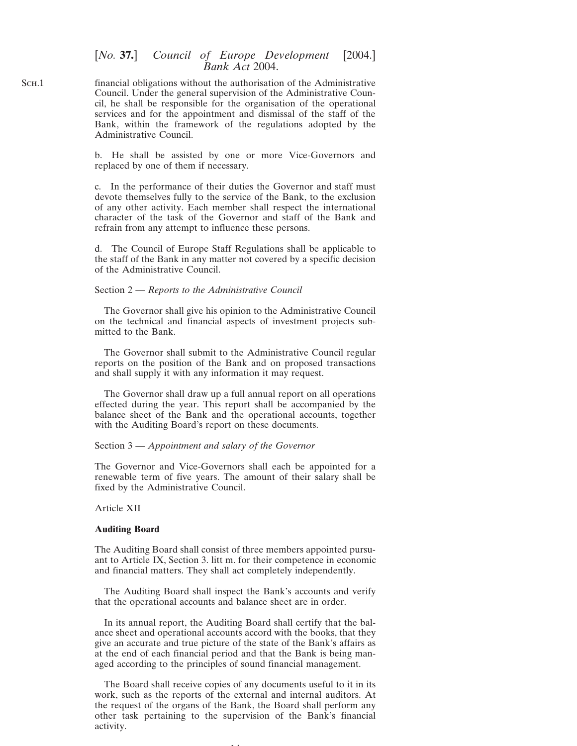financial obligations without the authorisation of the Administrative Council. Under the general supervision of the Administrative Council, he shall be responsible for the organisation of the operational services and for the appointment and dismissal of the staff of the Bank, within the framework of the regulations adopted by the Administrative Council.

> b. He shall be assisted by one or more Vice-Governors and replaced by one of them if necessary.

> c. In the performance of their duties the Governor and staff must devote themselves fully to the service of the Bank, to the exclusion of any other activity. Each member shall respect the international character of the task of the Governor and staff of the Bank and refrain from any attempt to influence these persons.

> d. The Council of Europe Staff Regulations shall be applicable to the staff of the Bank in any matter not covered by a specific decision of the Administrative Council.

### Section 2 — *Reports to the Administrative Council*

The Governor shall give his opinion to the Administrative Council on the technical and financial aspects of investment projects submitted to the Bank.

The Governor shall submit to the Administrative Council regular reports on the position of the Bank and on proposed transactions and shall supply it with any information it may request.

The Governor shall draw up a full annual report on all operations effected during the year. This report shall be accompanied by the balance sheet of the Bank and the operational accounts, together with the Auditing Board's report on these documents.

### Section 3 — *Appointment and salary of the Governor*

The Governor and Vice-Governors shall each be appointed for a renewable term of five years. The amount of their salary shall be fixed by the Administrative Council.

#### Article XII

#### **Auditing Board**

The Auditing Board shall consist of three members appointed pursuant to Article IX, Section 3. litt m. for their competence in economic and financial matters. They shall act completely independently.

The Auditing Board shall inspect the Bank's accounts and verify that the operational accounts and balance sheet are in order.

In its annual report, the Auditing Board shall certify that the balance sheet and operational accounts accord with the books, that they give an accurate and true picture of the state of the Bank's affairs as at the end of each financial period and that the Bank is being managed according to the principles of sound financial management.

The Board shall receive copies of any documents useful to it in its work, such as the reports of the external and internal auditors. At the request of the organs of the Bank, the Board shall perform any other task pertaining to the supervision of the Bank's financial activity.

14

SCH.1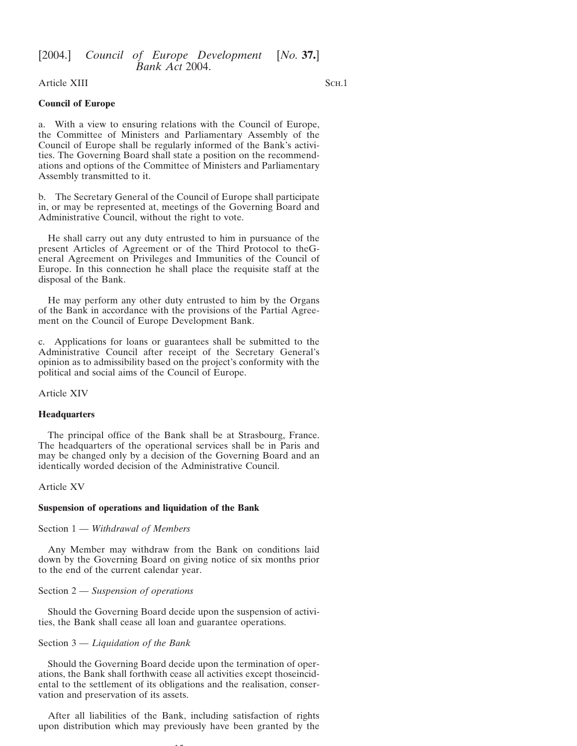Article XIII Sch.1

### **Council of Europe**

a. With a view to ensuring relations with the Council of Europe, the Committee of Ministers and Parliamentary Assembly of the Council of Europe shall be regularly informed of the Bank's activities. The Governing Board shall state a position on the recommendations and options of the Committee of Ministers and Parliamentary Assembly transmitted to it.

b. The Secretary General of the Council of Europe shall participate in, or may be represented at, meetings of the Governing Board and Administrative Council, without the right to vote.

He shall carry out any duty entrusted to him in pursuance of the present Articles of Agreement or of the Third Protocol to theGeneral Agreement on Privileges and Immunities of the Council of Europe. In this connection he shall place the requisite staff at the disposal of the Bank.

He may perform any other duty entrusted to him by the Organs of the Bank in accordance with the provisions of the Partial Agreement on the Council of Europe Development Bank.

c. Applications for loans or guarantees shall be submitted to the Administrative Council after receipt of the Secretary General's opinion as to admissibility based on the project's conformity with the political and social aims of the Council of Europe.

Article XIV

### **Headquarters**

The principal office of the Bank shall be at Strasbourg, France. The headquarters of the operational services shall be in Paris and may be changed only by a decision of the Governing Board and an identically worded decision of the Administrative Council.

Article XV

### **Suspension of operations and liquidation of the Bank**

### Section 1 — *Withdrawal of Members*

Any Member may withdraw from the Bank on conditions laid down by the Governing Board on giving notice of six months prior to the end of the current calendar year.

### Section 2 — *Suspension of operations*

Should the Governing Board decide upon the suspension of activities, the Bank shall cease all loan and guarantee operations.

### Section 3 — *Liquidation of the Bank*

Should the Governing Board decide upon the termination of operations, the Bank shall forthwith cease all activities except thoseincidental to the settlement of its obligations and the realisation, conservation and preservation of its assets.

After all liabilities of the Bank, including satisfaction of rights upon distribution which may previously have been granted by the

15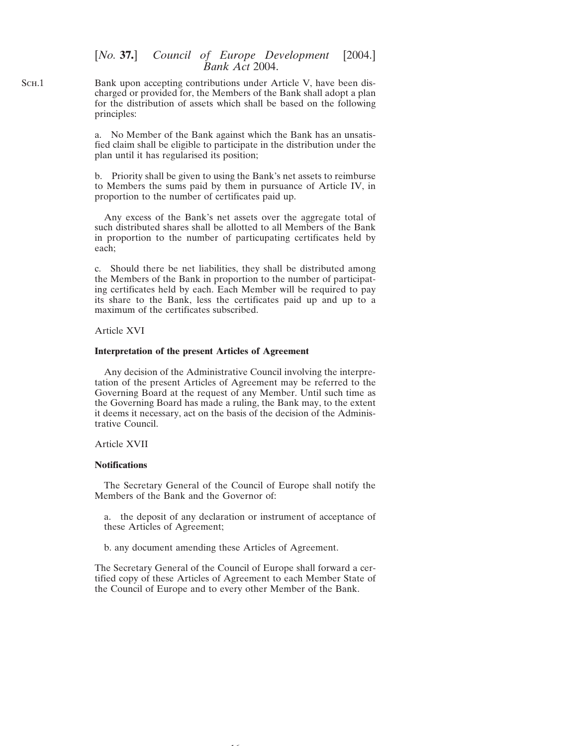Bank upon accepting contributions under Article V, have been discharged or provided for, the Members of the Bank shall adopt a plan for the distribution of assets which shall be based on the following principles:

> a. No Member of the Bank against which the Bank has an unsatisfied claim shall be eligible to participate in the distribution under the plan until it has regularised its position;

> b. Priority shall be given to using the Bank's net assets to reimburse to Members the sums paid by them in pursuance of Article IV, in proportion to the number of certificates paid up.

> Any excess of the Bank's net assets over the aggregate total of such distributed shares shall be allotted to all Members of the Bank in proportion to the number of particupating certificates held by each;

> c. Should there be net liabilities, they shall be distributed among the Members of the Bank in proportion to the number of participating certificates held by each. Each Member will be required to pay its share to the Bank, less the certificates paid up and up to a maximum of the certificates subscribed.

Article XVI

#### **Interpretation of the present Articles of Agreement**

Any decision of the Administrative Council involving the interpretation of the present Articles of Agreement may be referred to the Governing Board at the request of any Member. Until such time as the Governing Board has made a ruling, the Bank may, to the extent it deems it necessary, act on the basis of the decision of the Administrative Council.

### Article XVII

### **Notifications**

The Secretary General of the Council of Europe shall notify the Members of the Bank and the Governor of:

a. the deposit of any declaration or instrument of acceptance of these Articles of Agreement;

b. any document amending these Articles of Agreement.

The Secretary General of the Council of Europe shall forward a certified copy of these Articles of Agreement to each Member State of the Council of Europe and to every other Member of the Bank.

16

SCH.1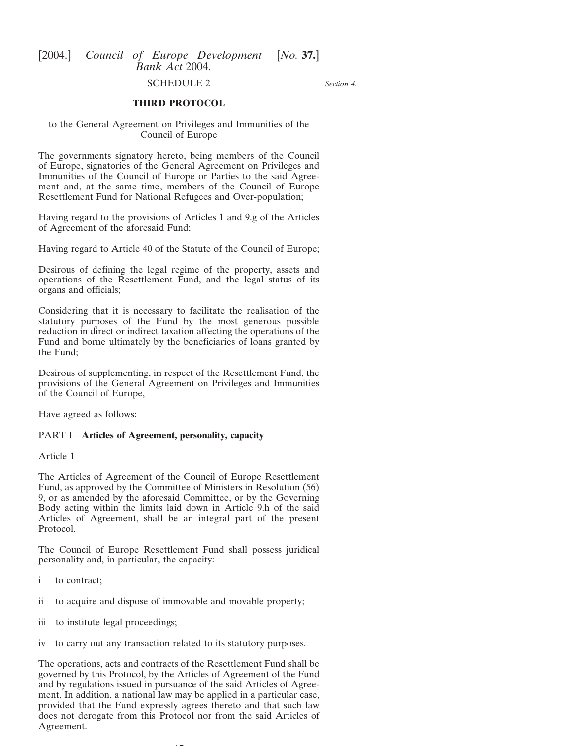#### *Section 4.*

# SCHEDULE 2 **THIRD PROTOCOL**

<span id="page-16-0"></span>to the General Agreement on Privileges and Immunities of the Council of Europe

The governments signatory hereto, being members of the Council of Europe, signatories of the General Agreement on Privileges and Immunities of the Council of Europe or Parties to the said Agreement and, at the same time, members of the Council of Europe Resettlement Fund for National Refugees and Over-population;

Having regard to the provisions of Articles 1 and 9.g of the Articles of Agreement of the aforesaid Fund;

Having regard to Article 40 of the Statute of the Council of Europe;

Desirous of defining the legal regime of the property, assets and operations of the Resettlement Fund, and the legal status of its organs and officials;

Considering that it is necessary to facilitate the realisation of the statutory purposes of the Fund by the most generous possible reduction in direct or indirect taxation affecting the operations of the Fund and borne ultimately by the beneficiaries of loans granted by the Fund;

Desirous of supplementing, in respect of the Resettlement Fund, the provisions of the General Agreement on Privileges and Immunities of the Council of Europe,

Have agreed as follows:

### PART I—**Articles of Agreement, personality, capacity**

Article 1

The Articles of Agreement of the Council of Europe Resettlement Fund, as approved by the Committee of Ministers in Resolution (56) 9, or as amended by the aforesaid Committee, or by the Governing Body acting within the limits laid down in Article 9.h of the said Articles of Agreement, shall be an integral part of the present Protocol.

The Council of Europe Resettlement Fund shall possess juridical personality and, in particular, the capacity:

- i to contract;
- ii to acquire and dispose of immovable and movable property;
- iii to institute legal proceedings;
- iv to carry out any transaction related to its statutory purposes.

The operations, acts and contracts of the Resettlement Fund shall be governed by this Protocol, by the Articles of Agreement of the Fund and by regulations issued in pursuance of the said Articles of Agreement. In addition, a national law may be applied in a particular case, provided that the Fund expressly agrees thereto and that such law does not derogate from this Protocol nor from the said Articles of Agreement.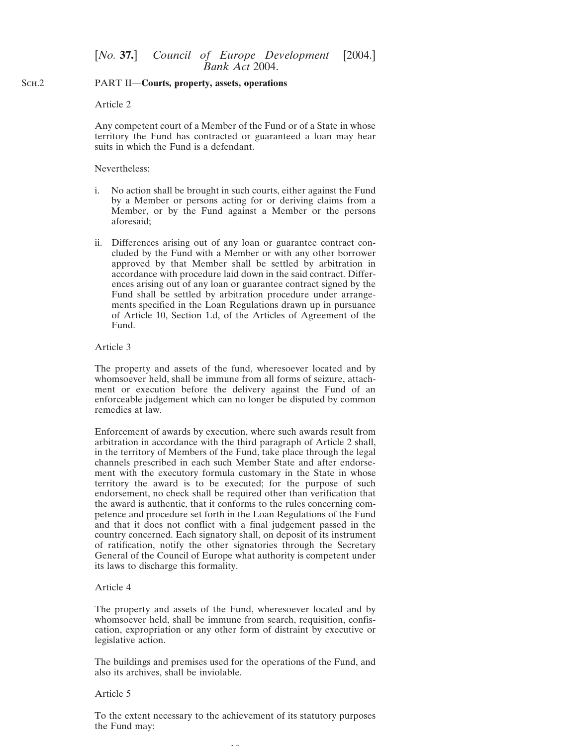#### SCH<sub>.2</sub> PART II—**Courts, property, assets, operations**

### Article 2

Any competent court of a Member of the Fund or of a State in whose territory the Fund has contracted or guaranteed a loan may hear suits in which the Fund is a defendant.

### Nevertheless:

- i. No action shall be brought in such courts, either against the Fund by a Member or persons acting for or deriving claims from a Member, or by the Fund against a Member or the persons aforesaid;
- ii. Differences arising out of any loan or guarantee contract concluded by the Fund with a Member or with any other borrower approved by that Member shall be settled by arbitration in accordance with procedure laid down in the said contract. Differences arising out of any loan or guarantee contract signed by the Fund shall be settled by arbitration procedure under arrangements specified in the Loan Regulations drawn up in pursuance of Article 10, Section 1.d, of the Articles of Agreement of the Fund.

### Article 3

The property and assets of the fund, wheresoever located and by whomsoever held, shall be immune from all forms of seizure, attachment or execution before the delivery against the Fund of an enforceable judgement which can no longer be disputed by common remedies at law.

Enforcement of awards by execution, where such awards result from arbitration in accordance with the third paragraph of Article 2 shall, in the territory of Members of the Fund, take place through the legal channels prescribed in each such Member State and after endorsement with the executory formula customary in the State in whose territory the award is to be executed; for the purpose of such endorsement, no check shall be required other than verification that the award is authentic, that it conforms to the rules concerning competence and procedure set forth in the Loan Regulations of the Fund and that it does not conflict with a final judgement passed in the country concerned. Each signatory shall, on deposit of its instrument of ratification, notify the other signatories through the Secretary General of the Council of Europe what authority is competent under its laws to discharge this formality.

### Article 4

The property and assets of the Fund, wheresoever located and by whomsoever held, shall be immune from search, requisition, confiscation, expropriation or any other form of distraint by executive or legislative action.

The buildings and premises used for the operations of the Fund, and also its archives, shall be inviolable.

### Article 5

To the extent necessary to the achievement of its statutory purposes the Fund may: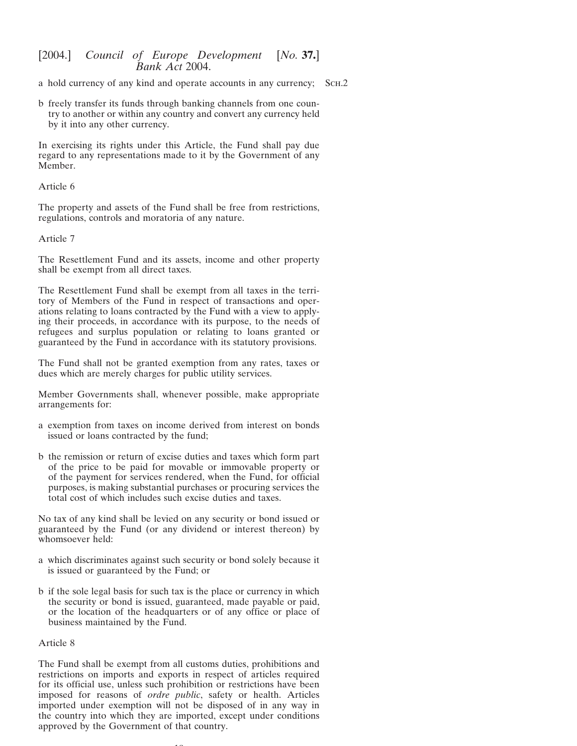a hold currency of any kind and operate accounts in any currency; Sch.2

b freely transfer its funds through banking channels from one country to another or within any country and convert any currency held by it into any other currency.

In exercising its rights under this Article, the Fund shall pay due regard to any representations made to it by the Government of any Member.

### Article 6

The property and assets of the Fund shall be free from restrictions, regulations, controls and moratoria of any nature.

### Article 7

The Resettlement Fund and its assets, income and other property shall be exempt from all direct taxes.

The Resettlement Fund shall be exempt from all taxes in the territory of Members of the Fund in respect of transactions and operations relating to loans contracted by the Fund with a view to applying their proceeds, in accordance with its purpose, to the needs of refugees and surplus population or relating to loans granted or guaranteed by the Fund in accordance with its statutory provisions.

The Fund shall not be granted exemption from any rates, taxes or dues which are merely charges for public utility services.

Member Governments shall, whenever possible, make appropriate arrangements for:

- a exemption from taxes on income derived from interest on bonds issued or loans contracted by the fund;
- b the remission or return of excise duties and taxes which form part of the price to be paid for movable or immovable property or of the payment for services rendered, when the Fund, for official purposes, is making substantial purchases or procuring services the total cost of which includes such excise duties and taxes.

No tax of any kind shall be levied on any security or bond issued or guaranteed by the Fund (or any dividend or interest thereon) by whomsoever held:

- a which discriminates against such security or bond solely because it is issued or guaranteed by the Fund; or
- b if the sole legal basis for such tax is the place or currency in which the security or bond is issued, guaranteed, made payable or paid, or the location of the headquarters or of any office or place of business maintained by the Fund.

### Article 8

The Fund shall be exempt from all customs duties, prohibitions and restrictions on imports and exports in respect of articles required for its official use, unless such prohibition or restrictions have been imposed for reasons of *ordre public*, safety or health. Articles imported under exemption will not be disposed of in any way in the country into which they are imported, except under conditions approved by the Government of that country.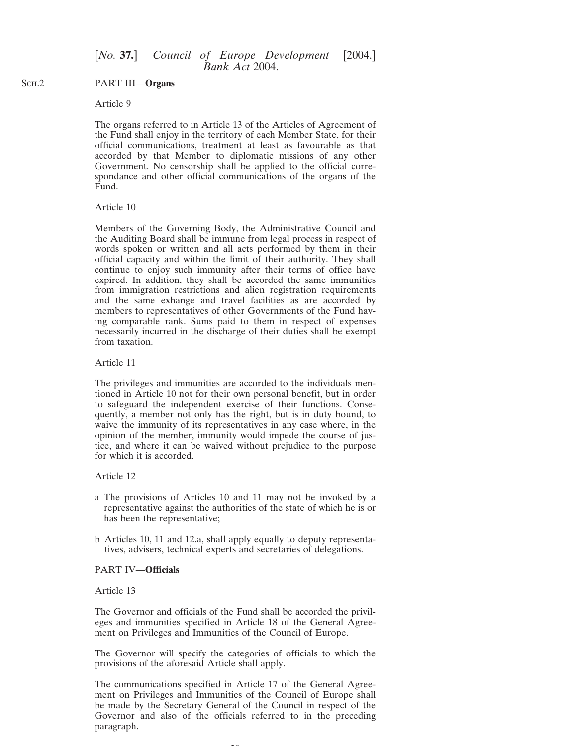#### SC<sub>H.2</sub> PART III—**Organs**

### Article 9

The organs referred to in Article 13 of the Articles of Agreement of the Fund shall enjoy in the territory of each Member State, for their official communications, treatment at least as favourable as that accorded by that Member to diplomatic missions of any other Government. No censorship shall be applied to the official correspondance and other official communications of the organs of the Fund.

### Article 10

Members of the Governing Body, the Administrative Council and the Auditing Board shall be immune from legal process in respect of words spoken or written and all acts performed by them in their official capacity and within the limit of their authority. They shall continue to enjoy such immunity after their terms of office have expired. In addition, they shall be accorded the same immunities from immigration restrictions and alien registration requirements and the same exhange and travel facilities as are accorded by members to representatives of other Governments of the Fund having comparable rank. Sums paid to them in respect of expenses necessarily incurred in the discharge of their duties shall be exempt from taxation.

### Article 11

The privileges and immunities are accorded to the individuals mentioned in Article 10 not for their own personal benefit, but in order to safeguard the independent exercise of their functions. Consequently, a member not only has the right, but is in duty bound, to waive the immunity of its representatives in any case where, in the opinion of the member, immunity would impede the course of justice, and where it can be waived without prejudice to the purpose for which it is accorded.

### Article 12

- a The provisions of Articles 10 and 11 may not be invoked by a representative against the authorities of the state of which he is or has been the representative;
- b Articles 10, 11 and 12.a, shall apply equally to deputy representatives, advisers, technical experts and secretaries of delegations.

#### PART IV—**Officials**

### Article 13

The Governor and officials of the Fund shall be accorded the privileges and immunities specified in Article 18 of the General Agreement on Privileges and Immunities of the Council of Europe.

The Governor will specify the categories of officials to which the provisions of the aforesaid Article shall apply.

The communications specified in Article 17 of the General Agreement on Privileges and Immunities of the Council of Europe shall be made by the Secretary General of the Council in respect of the Governor and also of the officials referred to in the preceding paragraph.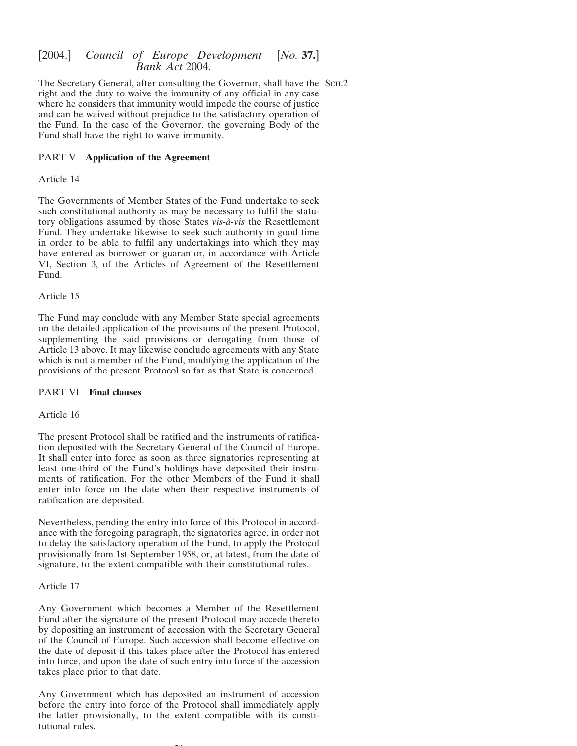The Secretary General, after consulting the Governor, shall have the SCH.2 right and the duty to waive the immunity of any official in any case where he considers that immunity would impede the course of justice and can be waived without prejudice to the satisfactory operation of the Fund. In the case of the Governor, the governing Body of the Fund shall have the right to waive immunity.

### PART V—**Application of the Agreement**

### Article 14

The Governments of Member States of the Fund undertake to seek such constitutional authority as may be necessary to fulfil the statutory obligations assumed by those States *vis-a`-vis* the Resettlement Fund. They undertake likewise to seek such authority in good time in order to be able to fulfil any undertakings into which they may have entered as borrower or guarantor, in accordance with Article VI, Section 3, of the Articles of Agreement of the Resettlement Fund.

### Article 15

The Fund may conclude with any Member State special agreements on the detailed application of the provisions of the present Protocol, supplementing the said provisions or derogating from those of Article 13 above. It may likewise conclude agreements with any State which is not a member of the Fund, modifying the application of the provisions of the present Protocol so far as that State is concerned.

### PART VI—**Final clauses**

### Article 16

The present Protocol shall be ratified and the instruments of ratification deposited with the Secretary General of the Council of Europe. It shall enter into force as soon as three signatories representing at least one-third of the Fund's holdings have deposited their instruments of ratification. For the other Members of the Fund it shall enter into force on the date when their respective instruments of ratification are deposited.

Nevertheless, pending the entry into force of this Protocol in accordance with the foregoing paragraph, the signatories agree, in order not to delay the satisfactory operation of the Fund, to apply the Protocol provisionally from 1st September 1958, or, at latest, from the date of signature, to the extent compatible with their constitutional rules.

### Article 17

Any Government which becomes a Member of the Resettlement Fund after the signature of the present Protocol may accede thereto by depositing an instrument of accession with the Secretary General of the Council of Europe. Such accession shall become effective on the date of deposit if this takes place after the Protocol has entered into force, and upon the date of such entry into force if the accession takes place prior to that date.

Any Government which has deposited an instrument of accession before the entry into force of the Protocol shall immediately apply the latter provisionally, to the extent compatible with its constitutional rules.

 $21$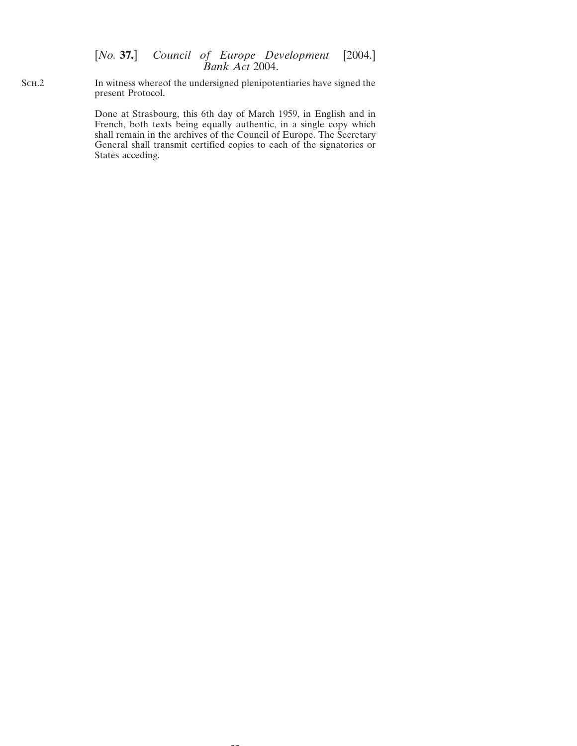Sch.2 In witness whereof the undersigned plenipotentiaries have signed the present Protocol.

> Done at Strasbourg, this 6th day of March 1959, in English and in French, both texts being equally authentic, in a single copy which shall remain in the archives of the Council of Europe. The Secretary General shall transmit certified copies to each of the signatories or States acceding.